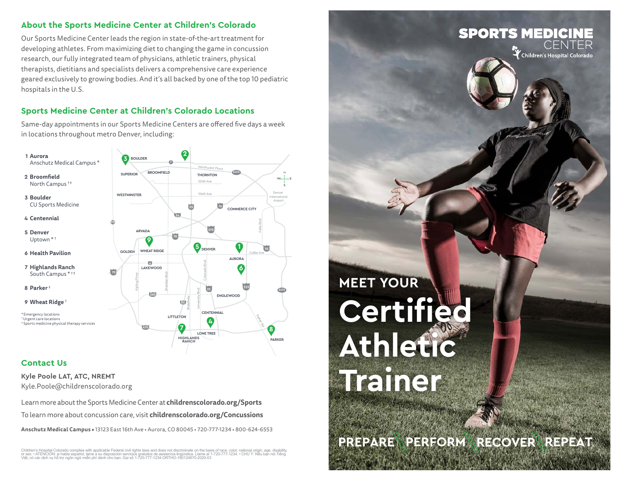#### **About the Sports Medicine Center at Children's Colorado**

Our Sports Medicine Center leads the region in state-of-the-art treatment for developing athletes. From maximizing diet to changing the game in concussion research, our fully integrated team of physicians, athletic trainers, physical therapists, dietitians and specialists delivers a comprehensive care experience geared exclusively to growing bodies. And it's all backed by one of the top 10 pediatric hospitals in the U.S.

## **Sports Medicine Center at Children's Colorado Locations**

Same-day appointments in our Sports Medicine Centers are offered five days a week in locations throughout metro Denver, including:

Denver

S  $W \leftarrow E$ 

Airport

**E470**

**PARKER**



### **Contact Us**

**Kyle Poole LAT, ATC, NREMT**  Kyle.Poole@childrenscolorado.org

Learn more about the Sports Medicine Center at **childrenscolorado.org/Sports** To learn more about concussion care, visit **childrenscolorado.org/Concussions**

**Anschutz Medical Campus •** 13123 East 16th Ave • Aurora, CO 80045 • 720-777-1234 • 800-624-6553

Children's Hospital Colorado complies with applicable Federal civil rights laws and does not discriminate on the basis of race, color, national origin, age, disability,<br>or sex. • ATENCIÓN: si habla español, tiene a su dis Việt, có các dịch vụ hỗ trợ ngôn ngữ miễn phí dành cho bạn. Gọi số 1-720-777-1234.ORTHO-160124870-2020-03